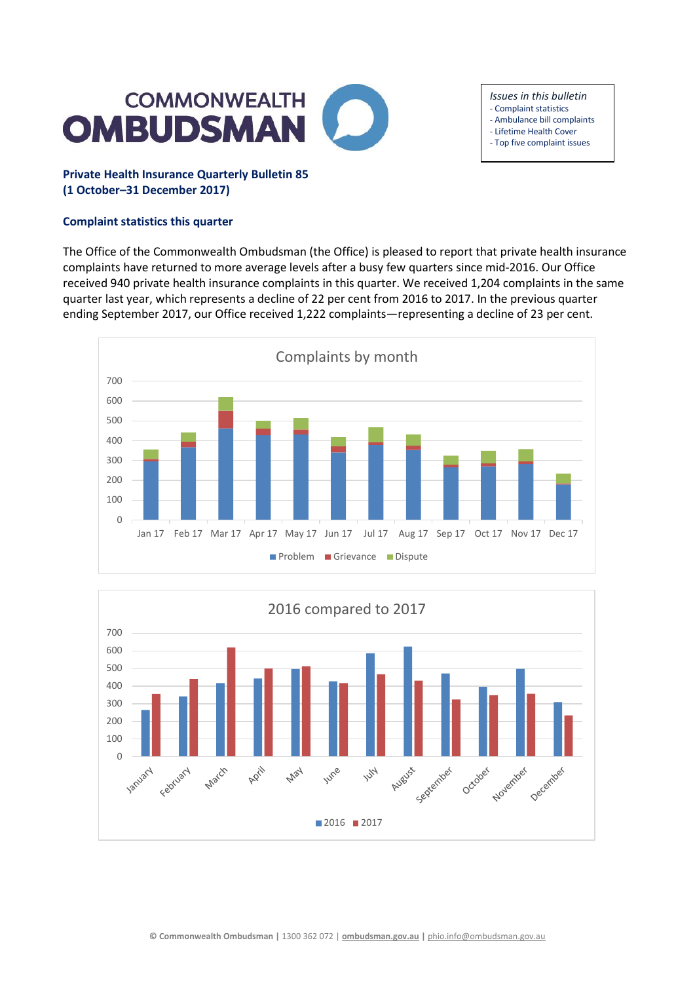

# *Issues in this bulletin*

- Complaint statistics
- Ambulance bill complaints
- Lifetime Health Cover - Top five complaint issues
- 

# **Private Health Insurance Quarterly Bulletin 85 (1 October–31 December 2017)**

## **Complaint statistics this quarter**

The Office of the Commonwealth Ombudsman (the Office) is pleased to report that private health insurance complaints have returned to more average levels after a busy few quarters since mid-2016. Our Office received 940 private health insurance complaints in this quarter. We received 1,204 complaints in the same quarter last year, which represents a decline of 22 per cent from 2016 to 2017. In the previous quarter ending September 2017, our Office received 1,222 complaints—representing a decline of 23 per cent.



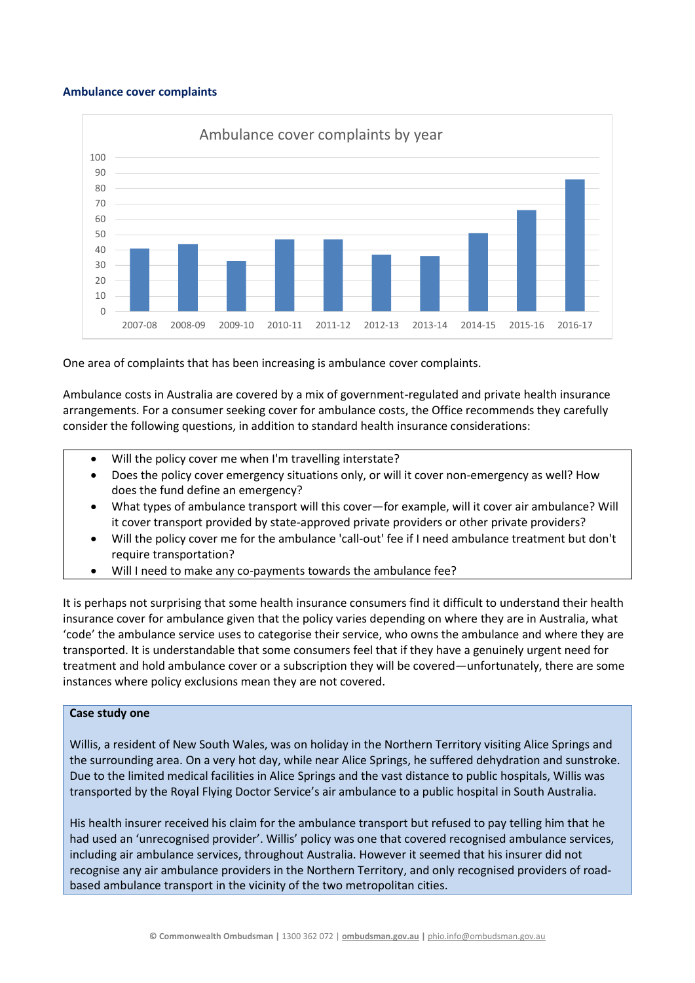#### **Ambulance cover complaints**



One area of complaints that has been increasing is ambulance cover complaints.

Ambulance costs in Australia are covered by a mix of government-regulated and private health insurance arrangements. For a consumer seeking cover for ambulance costs, the Office recommends they carefully consider the following questions, in addition to standard health insurance considerations:

- Will the policy cover me when I'm travelling interstate?
- Does the policy cover emergency situations only, or will it cover non-emergency as well? How does the fund define an emergency?
- What types of ambulance transport will this cover—for example, will it cover air ambulance? Will it cover transport provided by state-approved private providers or other private providers?
- Will the policy cover me for the ambulance 'call-out' fee if I need ambulance treatment but don't require transportation?
- Will I need to make any co-payments towards the ambulance fee?

It is perhaps not surprising that some health insurance consumers find it difficult to understand their health insurance cover for ambulance given that the policy varies depending on where they are in Australia, what 'code' the ambulance service uses to categorise their service, who owns the ambulance and where they are transported. It is understandable that some consumers feel that if they have a genuinely urgent need for treatment and hold ambulance cover or a subscription they will be covered—unfortunately, there are some instances where policy exclusions mean they are not covered.

#### **Case study one**

Willis, a resident of New South Wales, was on holiday in the Northern Territory visiting Alice Springs and the surrounding area. On a very hot day, while near Alice Springs, he suffered dehydration and sunstroke. Due to the limited medical facilities in Alice Springs and the vast distance to public hospitals, Willis was transported by the Royal Flying Doctor Service's air ambulance to a public hospital in South Australia.

His health insurer received his claim for the ambulance transport but refused to pay telling him that he had used an 'unrecognised provider'. Willis' policy was one that covered recognised ambulance services, including air ambulance services, throughout Australia. However it seemed that his insurer did not recognise any air ambulance providers in the Northern Territory, and only recognised providers of roadbased ambulance transport in the vicinity of the two metropolitan cities.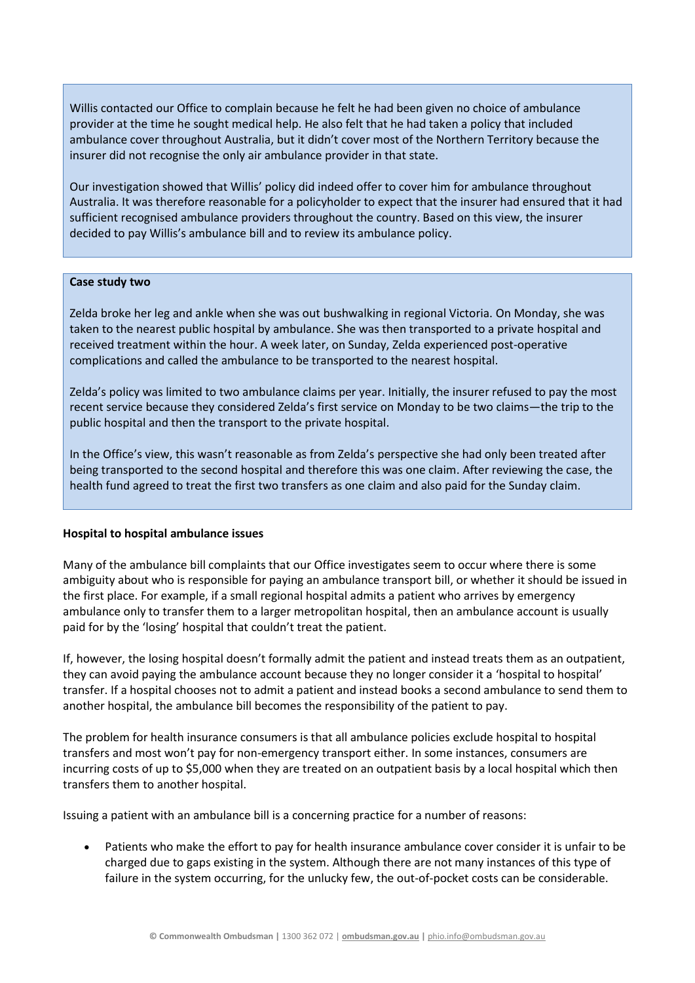Willis contacted our Office to complain because he felt he had been given no choice of ambulance provider at the time he sought medical help. He also felt that he had taken a policy that included ambulance cover throughout Australia, but it didn't cover most of the Northern Territory because the insurer did not recognise the only air ambulance provider in that state.

Our investigation showed that Willis' policy did indeed offer to cover him for ambulance throughout Australia. It was therefore reasonable for a policyholder to expect that the insurer had ensured that it had sufficient recognised ambulance providers throughout the country. Based on this view, the insurer decided to pay Willis's ambulance bill and to review its ambulance policy.

#### **Case study two**

Zelda broke her leg and ankle when she was out bushwalking in regional Victoria. On Monday, she was taken to the nearest public hospital by ambulance. She was then transported to a private hospital and received treatment within the hour. A week later, on Sunday, Zelda experienced post-operative complications and called the ambulance to be transported to the nearest hospital.

Zelda's policy was limited to two ambulance claims per year. Initially, the insurer refused to pay the most recent service because they considered Zelda's first service on Monday to be two claims—the trip to the public hospital and then the transport to the private hospital.

In the Office's view, this wasn't reasonable as from Zelda's perspective she had only been treated after being transported to the second hospital and therefore this was one claim. After reviewing the case, the health fund agreed to treat the first two transfers as one claim and also paid for the Sunday claim.

### **Hospital to hospital ambulance issues**

Many of the ambulance bill complaints that our Office investigates seem to occur where there is some ambiguity about who is responsible for paying an ambulance transport bill, or whether it should be issued in the first place. For example, if a small regional hospital admits a patient who arrives by emergency ambulance only to transfer them to a larger metropolitan hospital, then an ambulance account is usually paid for by the 'losing' hospital that couldn't treat the patient.

If, however, the losing hospital doesn't formally admit the patient and instead treats them as an outpatient, they can avoid paying the ambulance account because they no longer consider it a 'hospital to hospital' transfer. If a hospital chooses not to admit a patient and instead books a second ambulance to send them to another hospital, the ambulance bill becomes the responsibility of the patient to pay.

The problem for health insurance consumers is that all ambulance policies exclude hospital to hospital transfers and most won't pay for non-emergency transport either. In some instances, consumers are incurring costs of up to \$5,000 when they are treated on an outpatient basis by a local hospital which then transfers them to another hospital.

Issuing a patient with an ambulance bill is a concerning practice for a number of reasons:

 Patients who make the effort to pay for health insurance ambulance cover consider it is unfair to be charged due to gaps existing in the system. Although there are not many instances of this type of failure in the system occurring, for the unlucky few, the out-of-pocket costs can be considerable.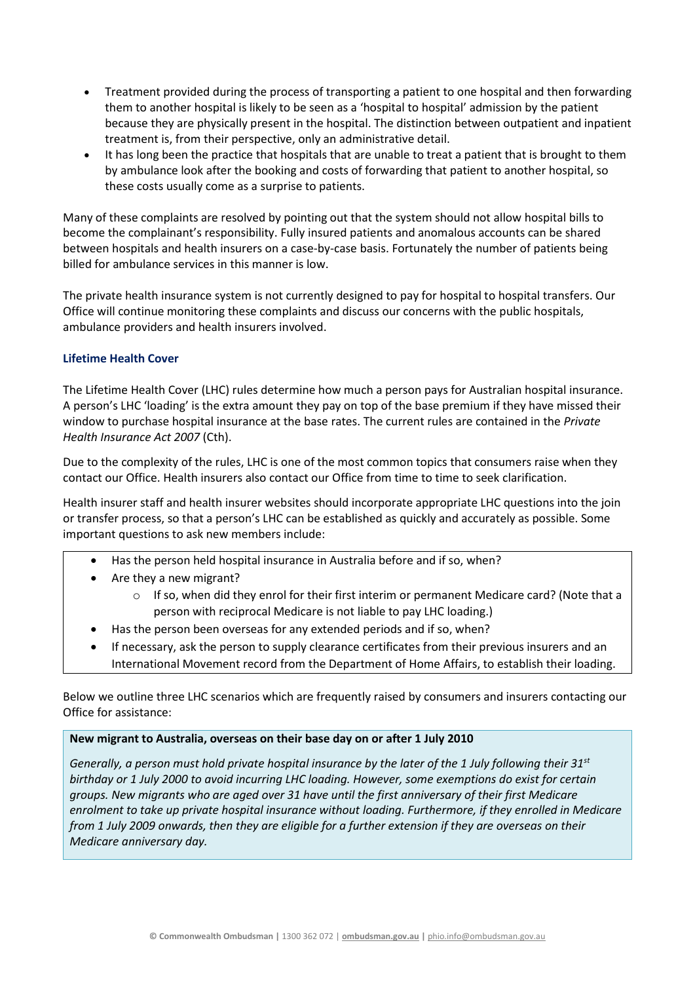- Treatment provided during the process of transporting a patient to one hospital and then forwarding them to another hospital is likely to be seen as a 'hospital to hospital' admission by the patient because they are physically present in the hospital. The distinction between outpatient and inpatient treatment is, from their perspective, only an administrative detail.
- It has long been the practice that hospitals that are unable to treat a patient that is brought to them by ambulance look after the booking and costs of forwarding that patient to another hospital, so these costs usually come as a surprise to patients.

Many of these complaints are resolved by pointing out that the system should not allow hospital bills to become the complainant's responsibility. Fully insured patients and anomalous accounts can be shared between hospitals and health insurers on a case-by-case basis. Fortunately the number of patients being billed for ambulance services in this manner is low.

The private health insurance system is not currently designed to pay for hospital to hospital transfers. Our Office will continue monitoring these complaints and discuss our concerns with the public hospitals, ambulance providers and health insurers involved.

# **Lifetime Health Cover**

The Lifetime Health Cover (LHC) rules determine how much a person pays for Australian hospital insurance. A person's LHC 'loading' is the extra amount they pay on top of the base premium if they have missed their window to purchase hospital insurance at the base rates. The current rules are contained in the *Private Health Insurance Act 2007* (Cth).

Due to the complexity of the rules, LHC is one of the most common topics that consumers raise when they contact our Office. Health insurers also contact our Office from time to time to seek clarification.

Health insurer staff and health insurer websites should incorporate appropriate LHC questions into the join or transfer process, so that a person's LHC can be established as quickly and accurately as possible. Some important questions to ask new members include:

- Has the person held hospital insurance in Australia before and if so, when?
- Are they a new migrant?
	- $\circ$  If so, when did they enrol for their first interim or permanent Medicare card? (Note that a person with reciprocal Medicare is not liable to pay LHC loading.)
- Has the person been overseas for any extended periods and if so, when?
- If necessary, ask the person to supply clearance certificates from their previous insurers and an International Movement record from the Department of Home Affairs, to establish their loading.

Below we outline three LHC scenarios which are frequently raised by consumers and insurers contacting our Office for assistance:

### **New migrant to Australia, overseas on their base day on or after 1 July 2010**

*Generally, a person must hold private hospital insurance by the later of the 1 July following their 31st birthday or 1 July 2000 to avoid incurring LHC loading. However, some exemptions do exist for certain groups. New migrants who are aged over 31 have until the first anniversary of their first Medicare enrolment to take up private hospital insurance without loading. Furthermore, if they enrolled in Medicare from 1 July 2009 onwards, then they are eligible for a further extension if they are overseas on their Medicare anniversary day.*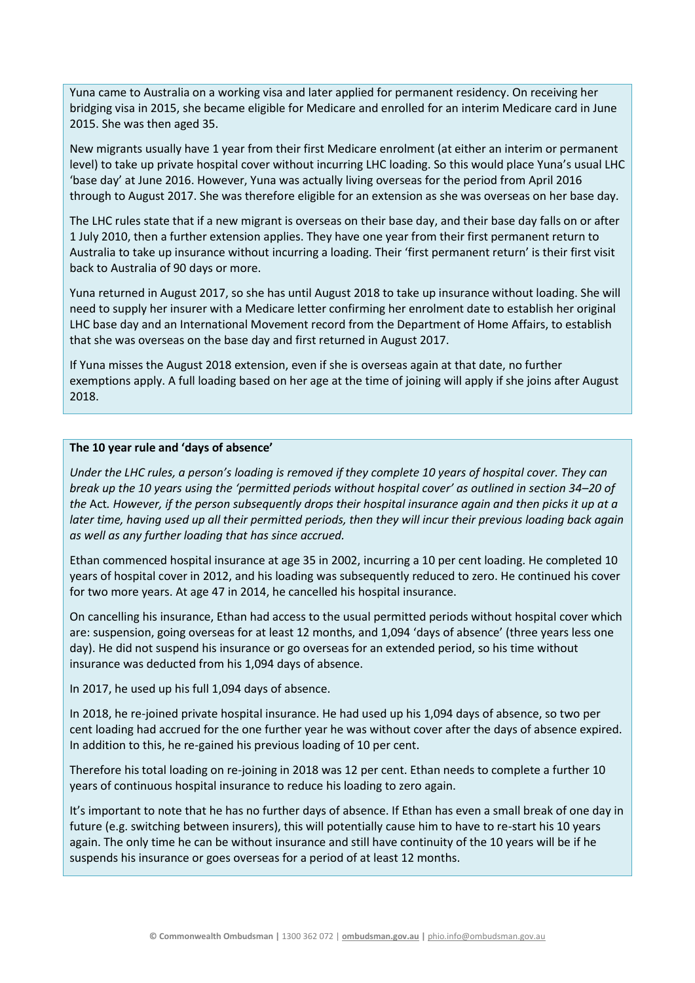Yuna came to Australia on a working visa and later applied for permanent residency. On receiving her bridging visa in 2015, she became eligible for Medicare and enrolled for an interim Medicare card in June 2015. She was then aged 35.

New migrants usually have 1 year from their first Medicare enrolment (at either an interim or permanent level) to take up private hospital cover without incurring LHC loading. So this would place Yuna's usual LHC 'base day' at June 2016. However, Yuna was actually living overseas for the period from April 2016 through to August 2017. She was therefore eligible for an extension as she was overseas on her base day.

The LHC rules state that if a new migrant is overseas on their base day, and their base day falls on or after 1 July 2010, then a further extension applies. They have one year from their first permanent return to Australia to take up insurance without incurring a loading. Their 'first permanent return' is their first visit back to Australia of 90 days or more.

Yuna returned in August 2017, so she has until August 2018 to take up insurance without loading. She will need to supply her insurer with a Medicare letter confirming her enrolment date to establish her original LHC base day and an International Movement record from the Department of Home Affairs, to establish that she was overseas on the base day and first returned in August 2017.

If Yuna misses the August 2018 extension, even if she is overseas again at that date, no further exemptions apply. A full loading based on her age at the time of joining will apply if she joins after August 2018.

#### **The 10 year rule and 'days of absence'**

*Under the LHC rules, a person's loading is removed if they complete 10 years of hospital cover. They can break up the 10 years using the 'permitted periods without hospital cover' as outlined in section 34–20 of the* Act*. However, if the person subsequently drops their hospital insurance again and then picks it up at a later time, having used up all their permitted periods, then they will incur their previous loading back again as well as any further loading that has since accrued.*

Ethan commenced hospital insurance at age 35 in 2002, incurring a 10 per cent loading. He completed 10 years of hospital cover in 2012, and his loading was subsequently reduced to zero. He continued his cover for two more years. At age 47 in 2014, he cancelled his hospital insurance.

On cancelling his insurance, Ethan had access to the usual permitted periods without hospital cover which are: suspension, going overseas for at least 12 months, and 1,094 'days of absence' (three years less one day). He did not suspend his insurance or go overseas for an extended period, so his time without insurance was deducted from his 1,094 days of absence.

In 2017, he used up his full 1,094 days of absence.

In 2018, he re-joined private hospital insurance. He had used up his 1,094 days of absence, so two per cent loading had accrued for the one further year he was without cover after the days of absence expired. In addition to this, he re-gained his previous loading of 10 per cent.

Therefore his total loading on re-joining in 2018 was 12 per cent. Ethan needs to complete a further 10 years of continuous hospital insurance to reduce his loading to zero again.

It's important to note that he has no further days of absence. If Ethan has even a small break of one day in future (e.g. switching between insurers), this will potentially cause him to have to re-start his 10 years again. The only time he can be without insurance and still have continuity of the 10 years will be if he suspends his insurance or goes overseas for a period of at least 12 months.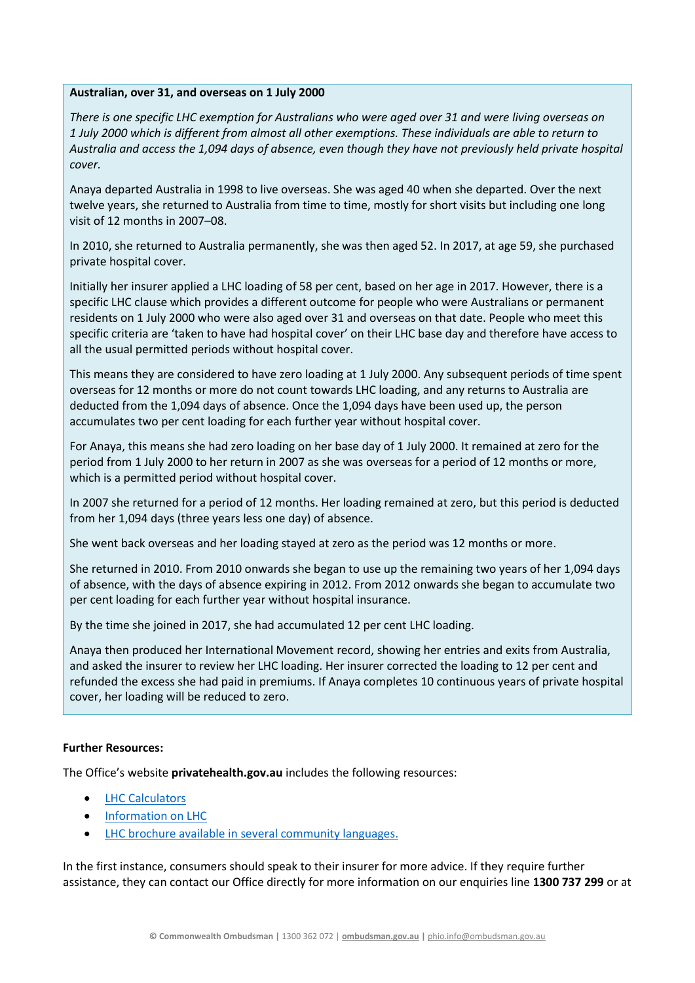#### **Australian, over 31, and overseas on 1 July 2000**

*There is one specific LHC exemption for Australians who were aged over 31 and were living overseas on 1 July 2000 which is different from almost all other exemptions. These individuals are able to return to Australia and access the 1,094 days of absence, even though they have not previously held private hospital cover.* 

Anaya departed Australia in 1998 to live overseas. She was aged 40 when she departed. Over the next twelve years, she returned to Australia from time to time, mostly for short visits but including one long visit of 12 months in 2007–08.

In 2010, she returned to Australia permanently, she was then aged 52. In 2017, at age 59, she purchased private hospital cover.

Initially her insurer applied a LHC loading of 58 per cent, based on her age in 2017. However, there is a specific LHC clause which provides a different outcome for people who were Australians or permanent residents on 1 July 2000 who were also aged over 31 and overseas on that date. People who meet this specific criteria are 'taken to have had hospital cover' on their LHC base day and therefore have access to all the usual permitted periods without hospital cover.

This means they are considered to have zero loading at 1 July 2000. Any subsequent periods of time spent overseas for 12 months or more do not count towards LHC loading, and any returns to Australia are deducted from the 1,094 days of absence. Once the 1,094 days have been used up, the person accumulates two per cent loading for each further year without hospital cover.

For Anaya, this means she had zero loading on her base day of 1 July 2000. It remained at zero for the period from 1 July 2000 to her return in 2007 as she was overseas for a period of 12 months or more, which is a permitted period without hospital cover.

In 2007 she returned for a period of 12 months. Her loading remained at zero, but this period is deducted from her 1,094 days (three years less one day) of absence.

She went back overseas and her loading stayed at zero as the period was 12 months or more.

She returned in 2010. From 2010 onwards she began to use up the remaining two years of her 1,094 days of absence, with the days of absence expiring in 2012. From 2012 onwards she began to accumulate two per cent loading for each further year without hospital insurance.

By the time she joined in 2017, she had accumulated 12 per cent LHC loading.

Anaya then produced her International Movement record, showing her entries and exits from Australia, and asked the insurer to review her LHC loading. Her insurer corrected the loading to 12 per cent and refunded the excess she had paid in premiums. If Anaya completes 10 continuous years of private hospital cover, her loading will be reduced to zero.

### **Further Resources:**

The Office's website **privatehealth.gov.au** includes the following resources:

- [LHC Calculators](https://www.privatehealth.gov.au/footer/tools/lhcc.htm)
- [Information on LHC](https://www.privatehealth.gov.au/healthinsurance/incentivessurcharges/lifetimehealthcover.htm)
- [LHC brochure available in several community languages.](https://www.privatehealth.gov.au/footer/brochures.htm)

In the first instance, consumers should speak to their insurer for more advice. If they require further assistance, they can contact our Office directly for more information on our enquiries line **1300 737 299** or at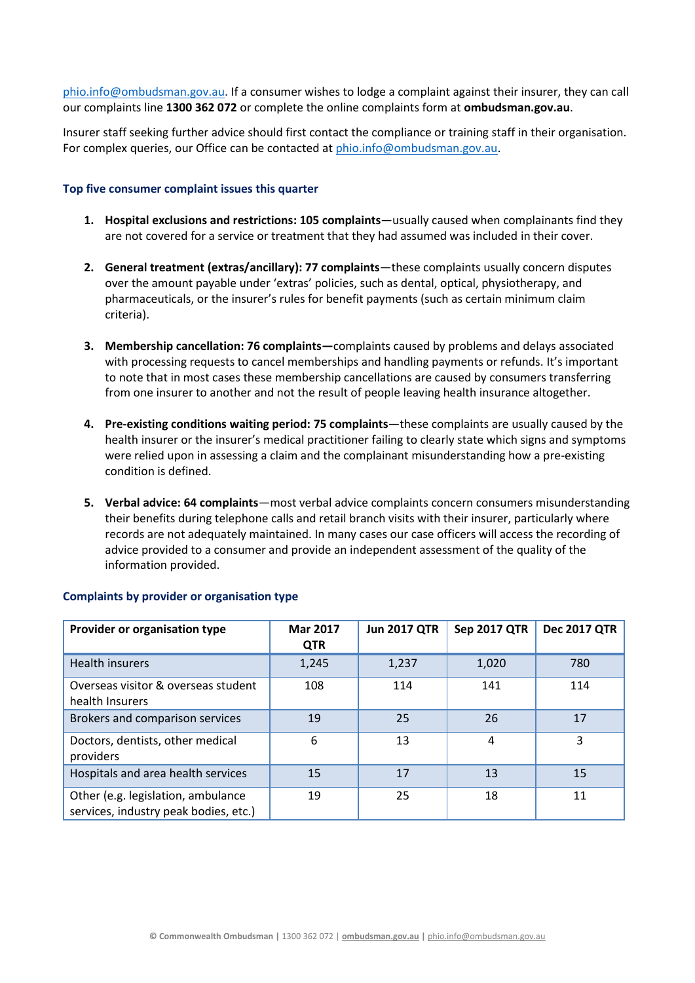[phio.info@ombudsman.gov.au.](mailto:phio.info@ombudsman.gov.au) If a consumer wishes to lodge a complaint against their insurer, they can call our complaints line **1300 362 072** or complete the online complaints form at **ombudsman.gov.au**.

Insurer staff seeking further advice should first contact the compliance or training staff in their organisation. For complex queries, our Office can be contacted a[t phio.info@ombudsman.gov.au.](mailto:phio.info@ombudsman.gov.au)

#### **Top five consumer complaint issues this quarter**

- **1. Hospital exclusions and restrictions: 105 complaints**—usually caused when complainants find they are not covered for a service or treatment that they had assumed was included in their cover.
- **2. General treatment (extras/ancillary): 77 complaints**—these complaints usually concern disputes over the amount payable under 'extras' policies, such as dental, optical, physiotherapy, and pharmaceuticals, or the insurer's rules for benefit payments (such as certain minimum claim criteria).
- **3. Membership cancellation: 76 complaints—**complaints caused by problems and delays associated with processing requests to cancel memberships and handling payments or refunds. It's important to note that in most cases these membership cancellations are caused by consumers transferring from one insurer to another and not the result of people leaving health insurance altogether.
- **4. Pre-existing conditions waiting period: 75 complaints**—these complaints are usually caused by the health insurer or the insurer's medical practitioner failing to clearly state which signs and symptoms were relied upon in assessing a claim and the complainant misunderstanding how a pre-existing condition is defined.
- **5. Verbal advice: 64 complaints**—most verbal advice complaints concern consumers misunderstanding their benefits during telephone calls and retail branch visits with their insurer, particularly where records are not adequately maintained. In many cases our case officers will access the recording of advice provided to a consumer and provide an independent assessment of the quality of the information provided.

| Provider or organisation type                                               | <b>Mar 2017</b><br><b>QTR</b> | <b>Jun 2017 QTR</b> | <b>Sep 2017 QTR</b> | <b>Dec 2017 QTR</b> |
|-----------------------------------------------------------------------------|-------------------------------|---------------------|---------------------|---------------------|
| Health insurers                                                             | 1,245                         | 1,237               | 1,020               | 780                 |
| Overseas visitor & overseas student<br>health Insurers                      | 108                           | 114                 | 141                 | 114                 |
| Brokers and comparison services                                             | 19                            | 25                  | 26                  | 17                  |
| Doctors, dentists, other medical<br>providers                               | 6                             | 13                  | 4                   | 3                   |
| Hospitals and area health services                                          | 15                            | 17                  | 13                  | 15                  |
| Other (e.g. legislation, ambulance<br>services, industry peak bodies, etc.) | 19                            | 25                  | 18                  | 11                  |

### **Complaints by provider or organisation type**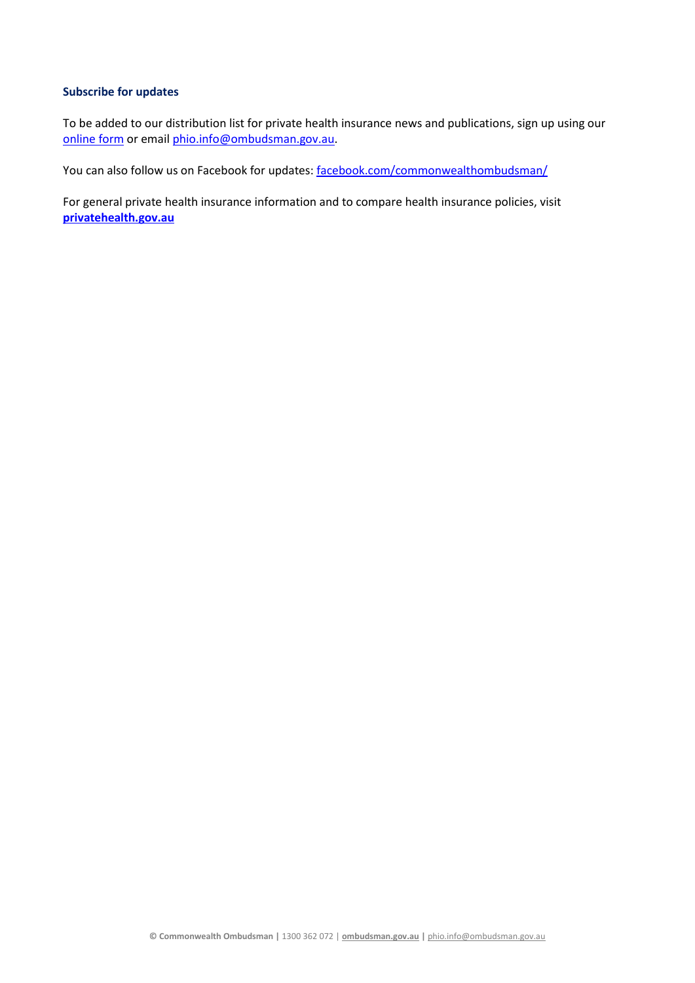#### **Subscribe for updates**

To be added to our distribution list for private health insurance news and publications, sign up using our [online form](mailto:online%20form) or email [phio.info@ombudsman.gov.au.](mailto:phio.info@ombudsman.gov.au)

You can also follow us on Facebook for updates: [facebook.com/commonwealthombudsman/](https://www.facebook.com/commonwealthombudsman/)

For general private health insurance information and to compare health insurance policies, visit **[privatehealth.gov.au](http://www.privatehealth.gov.au/)**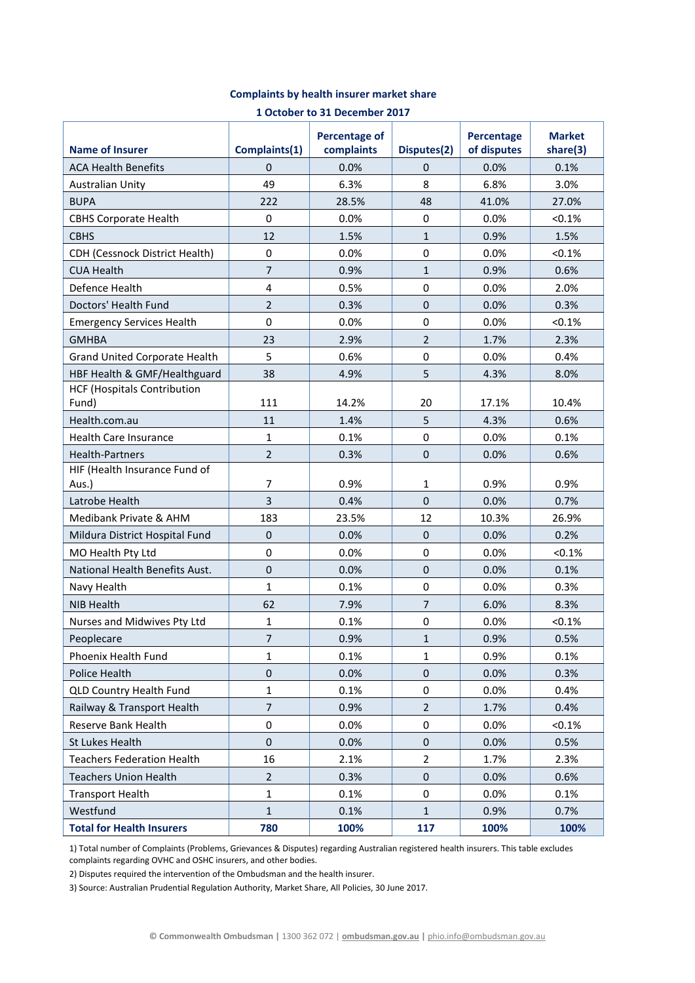| 1 October to 31 December 2017               |                         |                                    |                  |                           |                           |  |  |  |  |
|---------------------------------------------|-------------------------|------------------------------------|------------------|---------------------------|---------------------------|--|--|--|--|
| <b>Name of Insurer</b>                      | Complaints(1)           | <b>Percentage of</b><br>complaints | Disputes(2)      | Percentage<br>of disputes | <b>Market</b><br>share(3) |  |  |  |  |
| <b>ACA Health Benefits</b>                  | $\Omega$                | 0.0%                               | 0                | 0.0%                      | 0.1%                      |  |  |  |  |
| <b>Australian Unity</b>                     | 49                      | 6.3%                               | 8                | 6.8%                      | 3.0%                      |  |  |  |  |
| <b>BUPA</b>                                 | 222                     | 28.5%                              | 48               | 41.0%                     | 27.0%                     |  |  |  |  |
| <b>CBHS Corporate Health</b>                | 0                       | 0.0%                               | $\boldsymbol{0}$ | 0.0%                      | < 0.1%                    |  |  |  |  |
| <b>CBHS</b>                                 | 12                      | 1.5%                               | $\mathbf{1}$     | 0.9%                      | 1.5%                      |  |  |  |  |
| <b>CDH (Cessnock District Health)</b>       | $\pmb{0}$               | 0.0%                               | $\pmb{0}$        | 0.0%                      | < 0.1%                    |  |  |  |  |
| <b>CUA Health</b>                           | $\overline{7}$          | 0.9%                               | $\mathbf{1}$     | 0.9%                      | 0.6%                      |  |  |  |  |
| Defence Health                              | $\overline{\mathbf{4}}$ | 0.5%                               | $\pmb{0}$        | 0.0%                      | 2.0%                      |  |  |  |  |
| Doctors' Health Fund                        | $\overline{2}$          | 0.3%                               | $\boldsymbol{0}$ | 0.0%                      | 0.3%                      |  |  |  |  |
| <b>Emergency Services Health</b>            | $\mathbf 0$             | 0.0%                               | $\boldsymbol{0}$ | 0.0%                      | < 0.1%                    |  |  |  |  |
| <b>GMHBA</b>                                | 23                      | 2.9%                               | $\overline{2}$   | 1.7%                      | 2.3%                      |  |  |  |  |
| Grand United Corporate Health               | 5                       | 0.6%                               | $\pmb{0}$        | 0.0%                      | 0.4%                      |  |  |  |  |
| HBF Health & GMF/Healthguard                | 38                      | 4.9%                               | 5                | 4.3%                      | 8.0%                      |  |  |  |  |
| <b>HCF (Hospitals Contribution</b><br>Fund) | 111                     | 14.2%                              | 20               | 17.1%                     | 10.4%                     |  |  |  |  |
| Health.com.au                               | 11                      | 1.4%                               | 5                | 4.3%                      | 0.6%                      |  |  |  |  |
| <b>Health Care Insurance</b>                | $\mathbf{1}$            | 0.1%                               | 0                | 0.0%                      | 0.1%                      |  |  |  |  |
| <b>Health-Partners</b>                      | $\overline{2}$          | 0.3%                               | $\boldsymbol{0}$ | 0.0%                      | 0.6%                      |  |  |  |  |
| HIF (Health Insurance Fund of<br>Aus.)      | $\overline{7}$          | 0.9%                               | $\mathbf{1}$     | 0.9%                      | 0.9%                      |  |  |  |  |
| Latrobe Health                              | 3                       | 0.4%                               | $\mathbf 0$      | 0.0%                      | 0.7%                      |  |  |  |  |
| Medibank Private & AHM                      | 183                     | 23.5%                              | 12               | 10.3%                     | 26.9%                     |  |  |  |  |
| Mildura District Hospital Fund              | $\boldsymbol{0}$        | 0.0%                               | $\boldsymbol{0}$ | 0.0%                      | 0.2%                      |  |  |  |  |
| MO Health Pty Ltd                           | $\pmb{0}$               | 0.0%                               | $\pmb{0}$        | 0.0%                      | < 0.1%                    |  |  |  |  |
| National Health Benefits Aust.              | $\pmb{0}$               | 0.0%                               | $\boldsymbol{0}$ | 0.0%                      | 0.1%                      |  |  |  |  |
| Navy Health                                 | $\mathbf{1}$            | 0.1%                               | $\pmb{0}$        | 0.0%                      | 0.3%                      |  |  |  |  |
| <b>NIB Health</b>                           | 62                      | 7.9%                               | $\overline{7}$   | 6.0%                      | 8.3%                      |  |  |  |  |
| Nurses and Midwives Pty Ltd                 | $\mathbf{1}$            | 0.1%                               | $\pmb{0}$        | 0.0%                      | < 0.1%                    |  |  |  |  |
| Peoplecare                                  | $\overline{7}$          | 0.9%                               | $\mathbf{1}$     | 0.9%                      | 0.5%                      |  |  |  |  |
| Phoenix Health Fund                         | 1                       | 0.1%                               | $\mathbf 1$      | 0.9%                      | 0.1%                      |  |  |  |  |
| Police Health                               | $\pmb{0}$               | 0.0%                               | $\boldsymbol{0}$ | 0.0%                      | 0.3%                      |  |  |  |  |
| <b>QLD Country Health Fund</b>              | $\mathbf 1$             | 0.1%                               | $\pmb{0}$        | 0.0%                      | 0.4%                      |  |  |  |  |
| Railway & Transport Health                  | $\overline{7}$          | 0.9%                               | $\mathbf 2$      | 1.7%                      | 0.4%                      |  |  |  |  |
| Reserve Bank Health                         | 0                       | 0.0%                               | 0                | 0.0%                      | < 0.1%                    |  |  |  |  |
| St Lukes Health                             | $\pmb{0}$               | 0.0%                               | $\boldsymbol{0}$ | 0.0%                      | 0.5%                      |  |  |  |  |
| <b>Teachers Federation Health</b>           | 16                      | 2.1%                               | $\overline{2}$   | 1.7%                      | 2.3%                      |  |  |  |  |
| <b>Teachers Union Health</b>                | $\overline{2}$          | 0.3%                               | $\boldsymbol{0}$ | 0.0%                      | 0.6%                      |  |  |  |  |
| <b>Transport Health</b>                     | $\mathbf{1}$            | 0.1%                               | 0                | 0.0%                      | 0.1%                      |  |  |  |  |
| Westfund                                    | $\mathbf{1}$            | 0.1%                               | $\mathbf{1}$     | 0.9%                      | 0.7%                      |  |  |  |  |
| <b>Total for Health Insurers</b>            | 780                     | 100%                               | 117              | 100%                      | 100%                      |  |  |  |  |

## **Complaints by health insurer market share**

1) Total number of Complaints (Problems, Grievances & Disputes) regarding Australian registered health insurers. This table excludes complaints regarding OVHC and OSHC insurers, and other bodies.

2) Disputes required the intervention of the Ombudsman and the health insurer.

3) Source: Australian Prudential Regulation Authority, Market Share, All Policies, 30 June 2017.